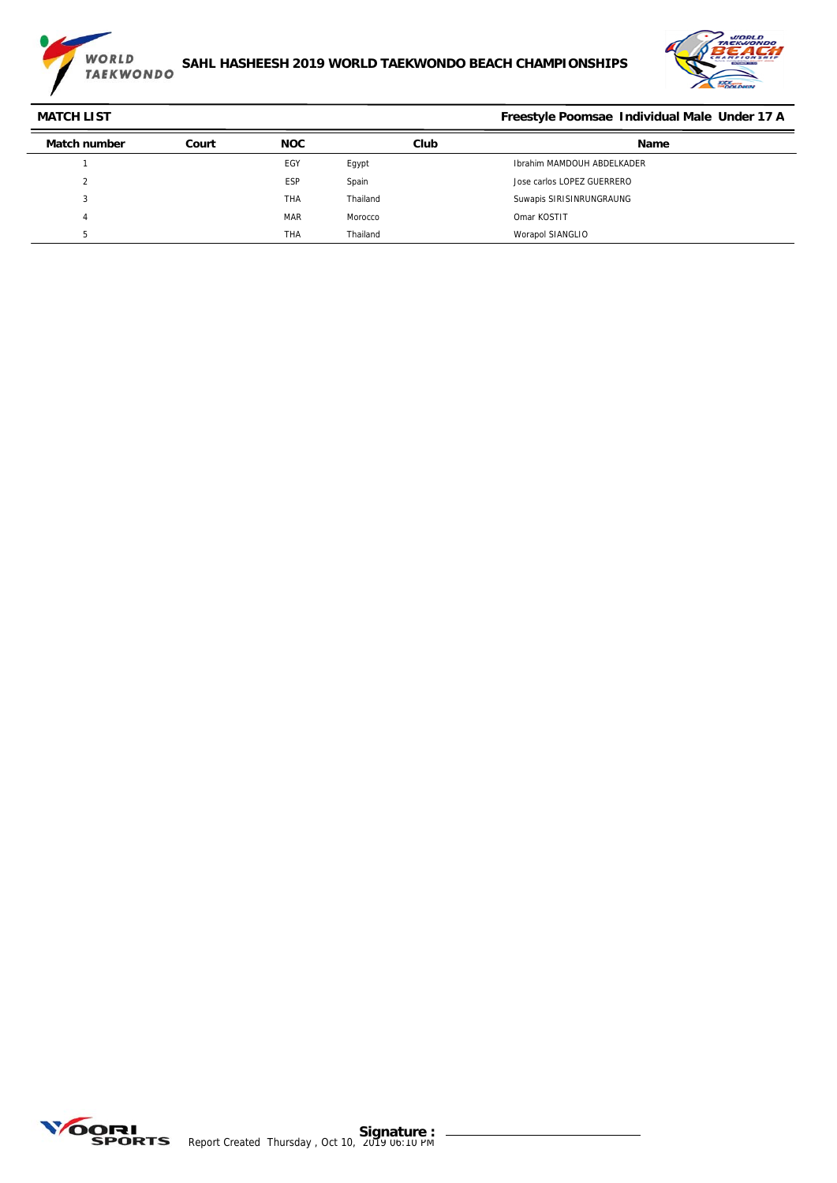



## **MATCH LIST Freestyle Poomsae Individual Male Under 17 A Match number Court NOC Club Name** 1 EGY Egypt Ibrahim MAMDOUH ABDELKADER 2 ESP Spain Jose carlos LOPEZ GUERRERO 3 THA Thailand Suwapis SIRISINRUNGRAUNG 4 MAR MOTOCCO MAR MOTOCCO Omar KOSTIT 5 THA Thailand Worapol SIANGLIO

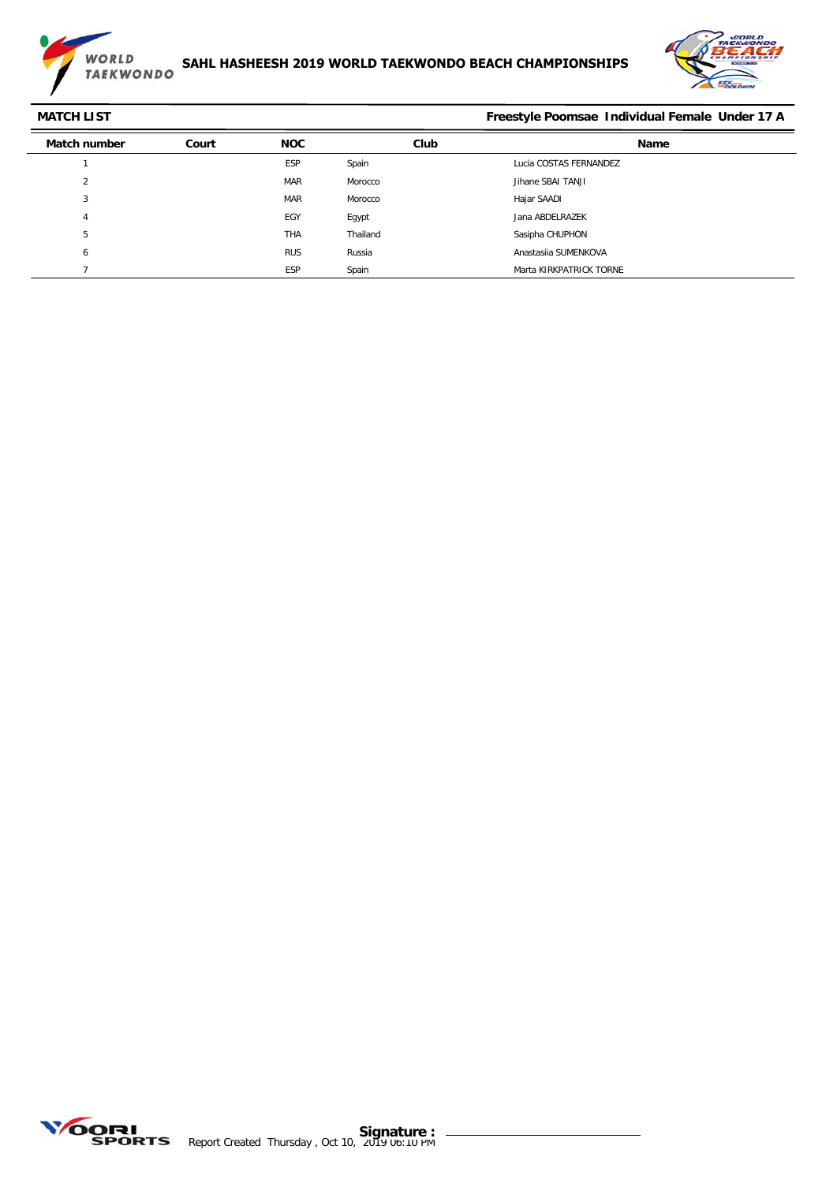



**MATCH LIST Freestyle Poomsae Individual Female Under 17 A**

| <b>Match number</b> | Court | <b>NOC</b> | Club     | Name                    |
|---------------------|-------|------------|----------|-------------------------|
|                     |       | <b>ESP</b> | Spain    | Lucia COSTAS FERNANDEZ  |
| C<br>∠              |       | <b>MAR</b> | Morocco  | Jihane SBAI TANJI       |
| 3                   |       | <b>MAR</b> | Morocco  | Hajar SAADI             |
| 4                   |       | EGY        | Egypt    | Jana ABDELRAZEK         |
| 5                   |       | <b>THA</b> | Thailand | Sasipha CHUPHON         |
| O                   |       | <b>RUS</b> | Russia   | Anastasija SUMENKOVA    |
|                     |       | <b>ESP</b> | Spain    | Marta KIRKPATRICK TORNE |

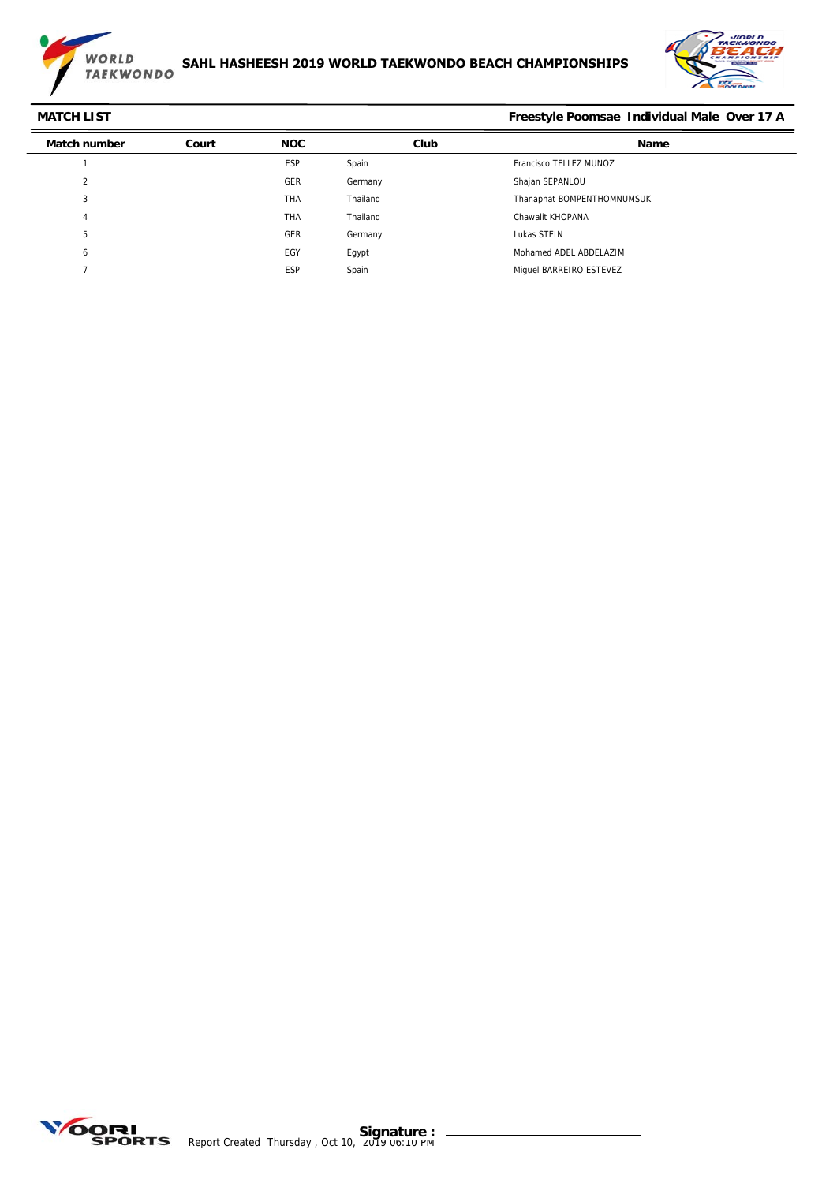



**MATCH LIST Freestyle Poomsae Individual Male Over 17 A**

| <b>Match number</b>    | Court | <b>NOC</b> | Club     | <b>Name</b>                |
|------------------------|-------|------------|----------|----------------------------|
|                        |       | ESP        | Spain    | Francisco TELLEZ MUNOZ     |
| $\Omega$<br>$\epsilon$ |       | GER        | Germany  | Shajan SEPANLOU            |
| 3                      |       | <b>THA</b> | Thailand | Thanaphat BOMPENTHOMNUMSUK |
| 4                      |       | <b>THA</b> | Thailand | Chawalit KHOPANA           |
| b                      |       | GER        | Germany  | Lukas STEIN                |
| ь                      |       | EGY        | Egypt    | Mohamed ADEL ABDELAZIM     |
|                        |       | ESP        | Spain    | Miquel BARREIRO ESTEVEZ    |

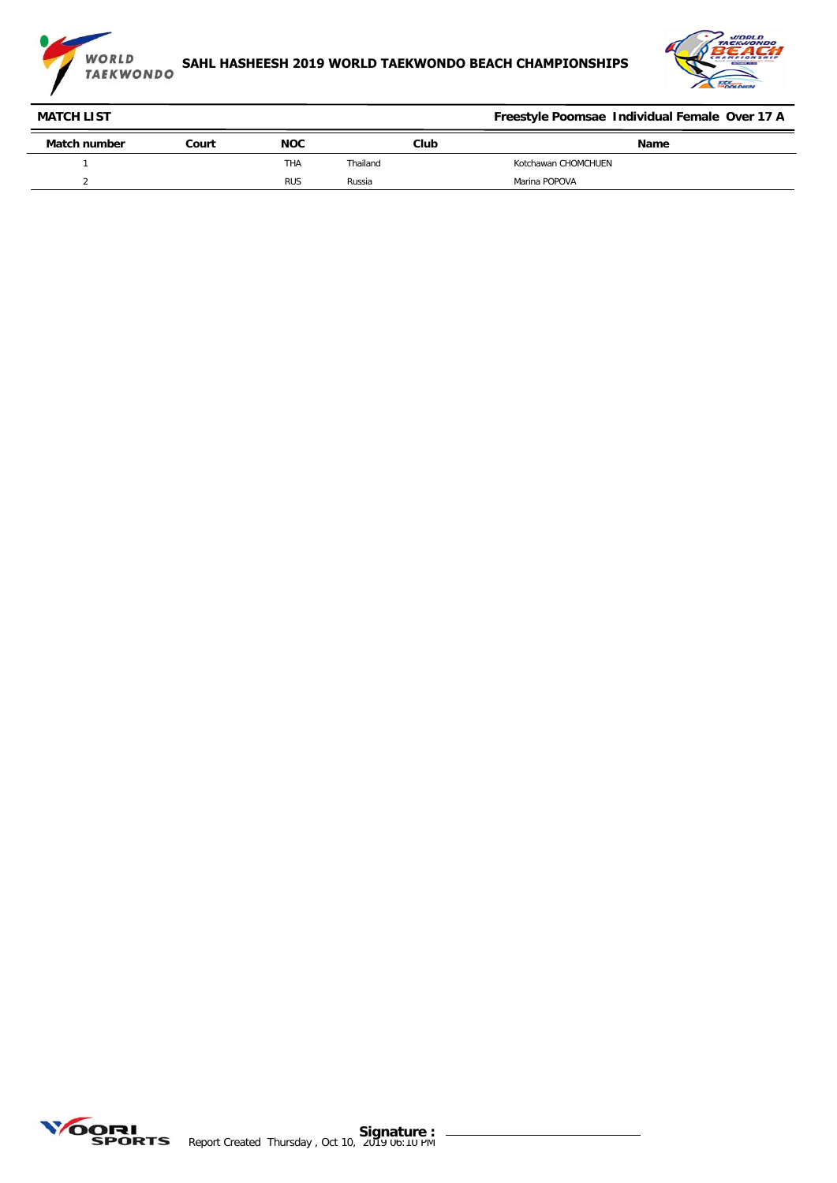



| <b>MATCH LIST</b> |       |            |          | Freestyle Poomsae Individual Female Over 17 A |
|-------------------|-------|------------|----------|-----------------------------------------------|
| Match number      | Court | <b>NOC</b> | Club     | Name                                          |
|                   |       | THA        | Thailand | Kotchawan CHOMCHUEN                           |
|                   |       | <b>RUS</b> | Russia   | Marina POPOVA                                 |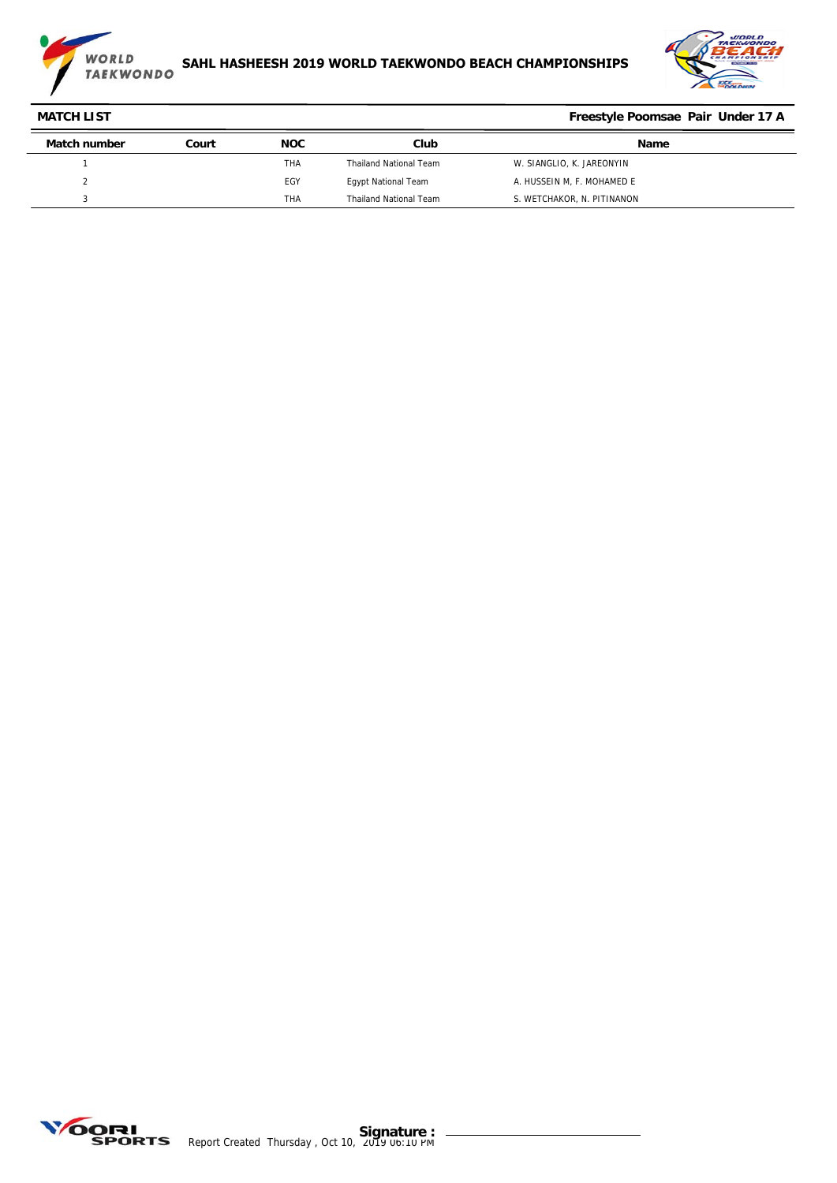



| <b>MATCH LIST</b> |       |            |                               | Freestyle Poomsae Pair Under 17 A |
|-------------------|-------|------------|-------------------------------|-----------------------------------|
| Match number      | Court | <b>NOC</b> | Club                          | <b>Name</b>                       |
|                   |       | THA        | <b>Thailand National Team</b> | W. SIANGLIO, K. JAREONYIN         |
|                   |       | EGY        | <b>Egypt National Team</b>    | A. HUSSEIN M, F. MOHAMED E        |
|                   |       | <b>THA</b> | <b>Thailand National Team</b> | S. WETCHAKOR, N. PITINANON        |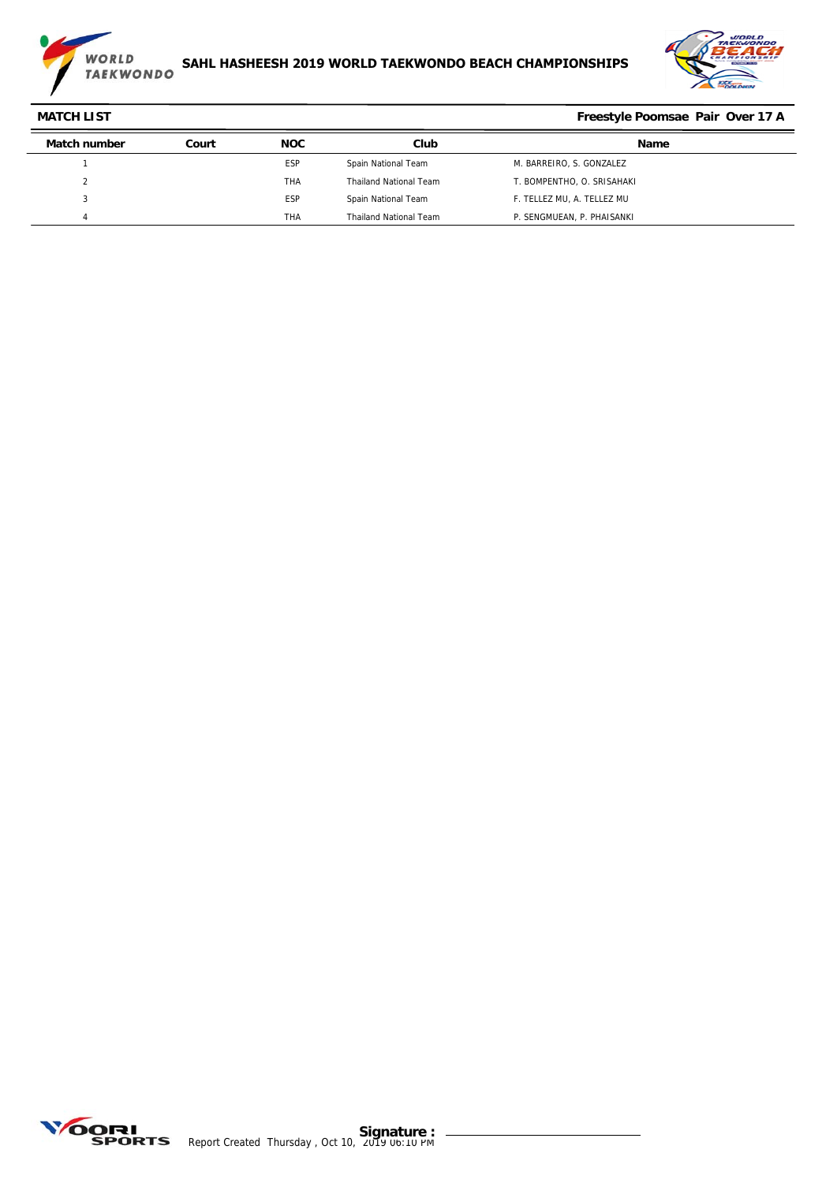

# **SAHL HASHEESH 2019 WORLD TAEKWONDO BEACH CHAMPIONSHIPS**



| <b>MATCH LIST</b> |       |            | Freestyle Poomsae Pair Over 17 A |                            |
|-------------------|-------|------------|----------------------------------|----------------------------|
| Match number      | Court | <b>NOC</b> | Club                             | Name                       |
|                   |       | <b>ESP</b> | Spain National Team              | M. BARREIRO, S. GONZALEZ   |
|                   |       | THA        | <b>Thailand National Team</b>    | T. BOMPENTHO, O. SRISAHAKI |
|                   |       | <b>ESP</b> | Spain National Team              | F. TELLEZ MU. A. TELLEZ MU |
|                   |       | <b>THA</b> | <b>Thailand National Team</b>    | P. SENGMUEAN, P. PHAISANKI |